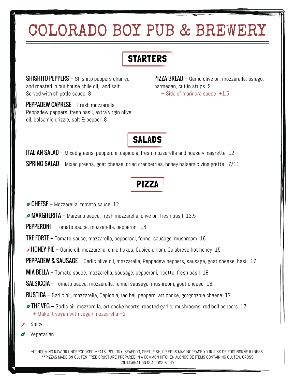# COLORADO BOY PUB & BREWERY

## **STARTERS**

**SHISHITO PEPPERS** – Shishito peppers charred and roasted in our house chile oil, and salt. Served with chipotle sauce 8

PEPPADEW CAPRESE – Fresh mozzarella, Peppadew peppers, fresh basil, extra virgin olive oil, balsamic drizzle, salt & pepper 8

PIZZA BREAD - Garlic olive oil, mozzarella, asiago, parmesan, cut in strips 9 + Side of marinara sauce +1.5



**ITALIAN SALAD** – Mixed greens, pepperoni, capicola, fresh mozzarella and house vinaigrette 12 SPRING SALAD – Mixed greens, goat cheese, dried cranberries, honey balsamic vinaigrette 7/11

# PIZZA

 $\triangle$  CHEESE – Mozzarella, tomato sauce 12

 $\blacktriangleright$  MARGHERITA – Marzano sauce, fresh mozzarella, olive oil, fresh basil  $~13.5~$ 

PEPPERONI – Tomato sauce, mozzarella, pepperoni 14

TRE FORTE – Tomato sauce, mozzarella, pepperoni, fennel sausage, mushroom 16

 $\rightarrow$  HONEY PIE – Garlic oil, mozzarella, chile flakes, Capicola ham, Calabrese hot honey 15

PEPPADEW & SAUSAGE - Garlic olive oil, mozzarella, Peppadew peppers, sausage, goat cheese, basil 17

MIA BELLA – Tomato sauce, mozzarella, sausage, pepperoni, ricotta, fresh basil 18

SALSICCIA – Tomato sauce, mozzarella, fennel sausage, mushroom, goat cheese 16

RUSTICA – Garlic oil, mozzarella, Capicola, red bell peppers, artichoke, gorgonzola cheese 17

 $\blacktriangleright$  THE VEG – Garlic oil, mozzarella, artichoke hearts, roasted garlic, mushrooms, red bell peppers  $~17$ + Make it vegan with vegan mozzarella +2

– Spicy

 $\blacktriangleright$  – Vegetarian

\*CONSUMING RAW OR UNDERCOOKED MEATS, POULTRY, SEAFOOD, SHELLFISH, OR EGGS MAY INCREASE YOUR RISK OF FOODBORNE ILLNESS; \*\*PIZZAS MADE ON GLUTEN-FREE CRUST ARE PREPARED IN A COMMON KITCHEN ALONGSIDE ITEMS CONTAINING GLUTEN. CROSS CONTAMINATION IS A POSSIBILITY.